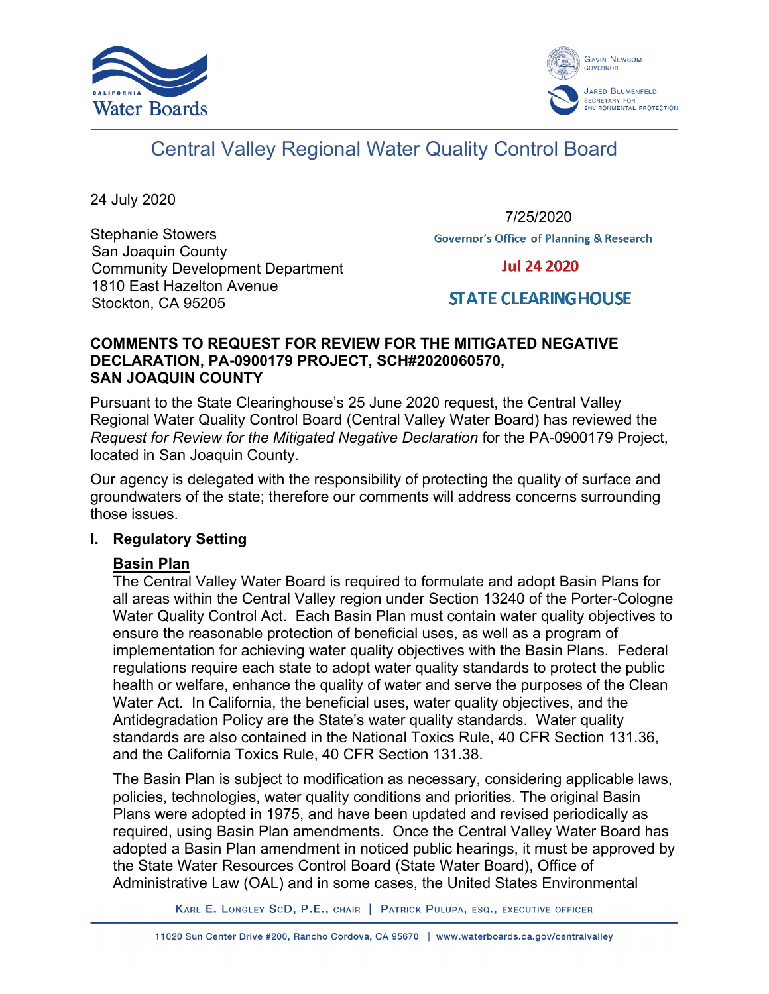



# Central Valley Regional Water Quality Control Board

24 July 2020

Stephanie Stowers San Joaquin County Community Development Department 1810 East Hazelton Avenue Stockton, CA 95205

7/25/2020**Governor's Office of Planning & Research** 

**Jul 24 2020** 

# **STATE CLEARING HOUSE**

#### **COMMENTS TO REQUEST FOR REVIEW FOR THE MITIGATED NEGATIVE DECLARATION, PA-0900179 PROJECT, SCH#2020060570, SAN JOAQUIN COUNTY**

Pursuant to the State Clearinghouse's 25 June 2020 request, the Central Valley Regional Water Quality Control Board (Central Valley Water Board) has reviewed the *Request for Review for the Mitigated Negative Declaration* for the PA-0900179 Project, located in San Joaquin County.

Our agency is delegated with the responsibility of protecting the quality of surface and groundwaters of the state; therefore our comments will address concerns surrounding those issues.

# **I. Regulatory Setting**

# **Basin Plan**

The Central Valley Water Board is required to formulate and adopt Basin Plans for all areas within the Central Valley region under Section 13240 of the Porter-Cologne Water Quality Control Act. Each Basin Plan must contain water quality objectives to ensure the reasonable protection of beneficial uses, as well as a program of implementation for achieving water quality objectives with the Basin Plans. Federal regulations require each state to adopt water quality standards to protect the public health or welfare, enhance the quality of water and serve the purposes of the Clean Water Act. In California, the beneficial uses, water quality objectives, and the Antidegradation Policy are the State's water quality standards. Water quality standards are also contained in the National Toxics Rule, 40 CFR Section 131.36, and the California Toxics Rule, 40 CFR Section 131.38.

The Basin Plan is subject to modification as necessary, considering applicable laws, policies, technologies, water quality conditions and priorities. The original Basin Plans were adopted in 1975, and have been updated and revised periodically as required, using Basin Plan amendments. Once the Central Valley Water Board has adopted a Basin Plan amendment in noticed public hearings, it must be approved by the State Water Resources Control Board (State Water Board), Office of Administrative Law (OAL) and in some cases, the United States Environmental

KARL E. LONGLEY SCD, P.E., CHAIR | PATRICK PULUPA, ESQ., EXECUTIVE OFFICER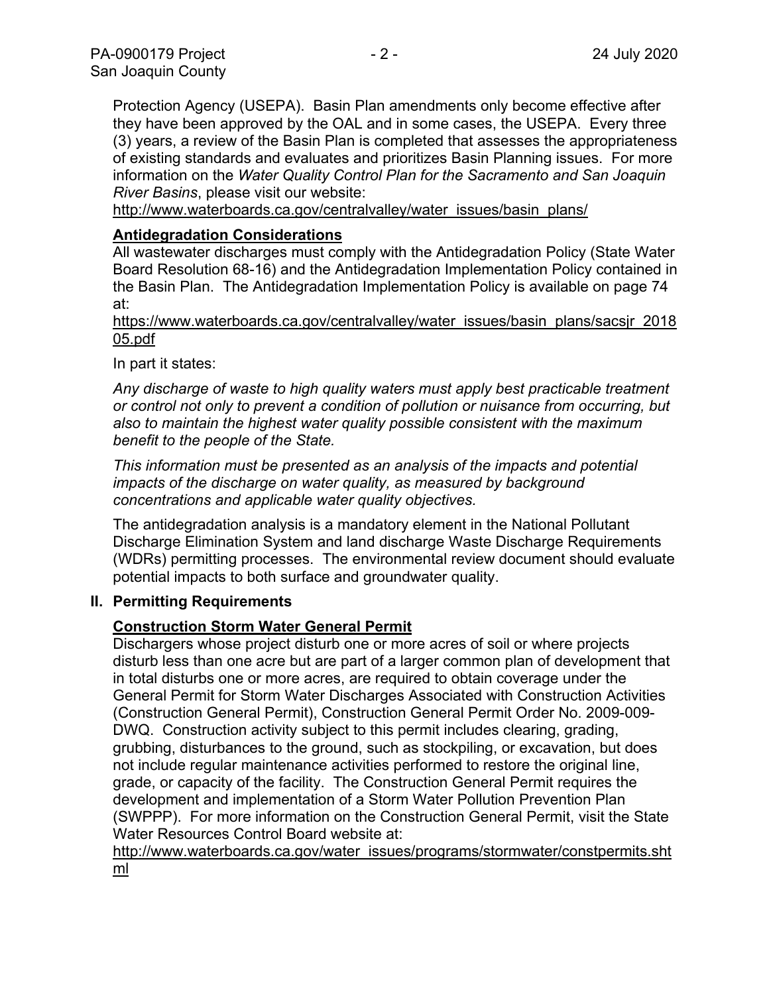Protection Agency (USEPA). Basin Plan amendments only become effective after they have been approved by the OAL and in some cases, the USEPA. Every three (3) years, a review of the Basin Plan is completed that assesses the appropriateness of existing standards and evaluates and prioritizes Basin Planning issues. For more information on the *Water Quality Control Plan for the Sacramento and San Joaquin River Basins*, please visit our website:

[http://www.waterboards.ca.gov/centralvalley/water\\_issues/basin\\_plans/](http://www.waterboards.ca.gov/centralvalley/water_issues/basin_plans/)

#### **Antidegradation Considerations**

All wastewater discharges must comply with the Antidegradation Policy (State Water Board Resolution 68-16) and the Antidegradation Implementation Policy contained in the Basin Plan. The Antidegradation Implementation Policy is available on page 74 at:

https://www.waterboards.ca.gov/centralvalley/water\_issues/basin\_plans/sacsjr\_2018 05.pdf

In part it states:

*Any discharge of waste to high quality waters must apply best practicable treatment or control not only to prevent a condition of pollution or nuisance from occurring, but also to maintain the highest water quality possible consistent with the maximum benefit to the people of the State.*

*This information must be presented as an analysis of the impacts and potential impacts of the discharge on water quality, as measured by background concentrations and applicable water quality objectives.*

The antidegradation analysis is a mandatory element in the National Pollutant Discharge Elimination System and land discharge Waste Discharge Requirements (WDRs) permitting processes. The environmental review document should evaluate potential impacts to both surface and groundwater quality.

#### **II. Permitting Requirements**

# **Construction Storm Water General Permit**

Dischargers whose project disturb one or more acres of soil or where projects disturb less than one acre but are part of a larger common plan of development that in total disturbs one or more acres, are required to obtain coverage under the General Permit for Storm Water Discharges Associated with Construction Activities (Construction General Permit), Construction General Permit Order No. 2009-009- DWQ. Construction activity subject to this permit includes clearing, grading, grubbing, disturbances to the ground, such as stockpiling, or excavation, but does not include regular maintenance activities performed to restore the original line, grade, or capacity of the facility. The Construction General Permit requires the development and implementation of a Storm Water Pollution Prevention Plan (SWPPP). For more information on the Construction General Permit, visit the State Water Resources Control Board website at:

[http://www.waterboards.ca.gov/water\\_issues/programs/stormwater/constpermits.sht](http://www.waterboards.ca.gov/water_issues/programs/stormwater/constpermits.shtml) [ml](http://www.waterboards.ca.gov/water_issues/programs/stormwater/constpermits.shtml)